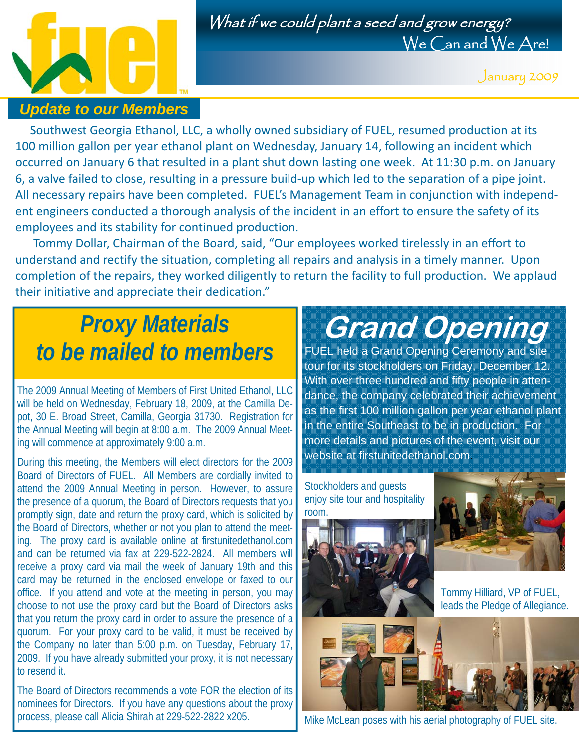

#### *Update to our Members*

What if we could plant a seed and grow energy? We Can and We Are!

January 2009

Southwest Georgia Ethanol, LLC, a wholly owned subsidiary of FUEL, resumed production at its 100 million gallon per year ethanol plant on Wednesday, January 14, following an incident which occurred on January 6 that resulted in a plant shut down lasting one week. At 11:30 p.m. on January 6, a valve failed to close, resulting in a pressure build‐up which led to the separation of a pipe joint. All necessary repairs have been completed. FUEL's Management Team in conjunction with independ‐ ent engineers conducted a thorough analysis of the incident in an effort to ensure the safety of its employees and its stability for continued production.

 Tommy Dollar, Chairman of the Board, said, "Our employees worked tirelessly in an effort to understand and rectify the situation, completing all repairs and analysis in a timely manner. Upon completion of the repairs, they worked diligently to return the facility to full production. We applaud their initiative and appreciate their dedication."

### *Proxy Materials to be mailed to members*

The 2009 Annual Meeting of Members of First United Ethanol, LLC will be held on Wednesday, February 18, 2009, at the Camilla Depot, 30 E. Broad Street, Camilla, Georgia 31730. Registration for the Annual Meeting will begin at 8:00 a.m. The 2009 Annual Meeting will commence at approximately 9:00 a.m.

During this meeting, the Members will elect directors for the 2009 Board of Directors of FUEL. All Members are cordially invited to attend the 2009 Annual Meeting in person. However, to assure the presence of a quorum, the Board of Directors requests that you promptly sign, date and return the proxy card, which is solicited by the Board of Directors, whether or not you plan to attend the meeting. The proxy card is available online at firstunitedethanol.com and can be returned via fax at 229-522-2824. All members will receive a proxy card via mail the week of January 19th and this card may be returned in the enclosed envelope or faxed to our office. If you attend and vote at the meeting in person, you may choose to not use the proxy card but the Board of Directors asks that you return the proxy card in order to assure the presence of a quorum. For your proxy card to be valid, it must be received by the Company no later than 5:00 p.m. on Tuesday, February 17, 2009. If you have already submitted your proxy, it is not necessary to resend it. Ĭ

The Board of Directors recommends a vote FOR the election of its nominees for Directors. If you have any questions about the proxy process, please call Alicia Shirah at 229-522-2822 x205.

# **Grand Opening**

FUEL held a Grand Opening Ceremony and site tour for its stockholders on Friday, December 12. With over three hundred and fifty people in attendance, the company celebrated their achievement as the first 100 million gallon per year ethanol plant in the entire Southeast to be in production. For more details and pictures of the event, visit our website at firstunitedethanol.com.



Mike McLean poses with his aerial photography of FUEL site.